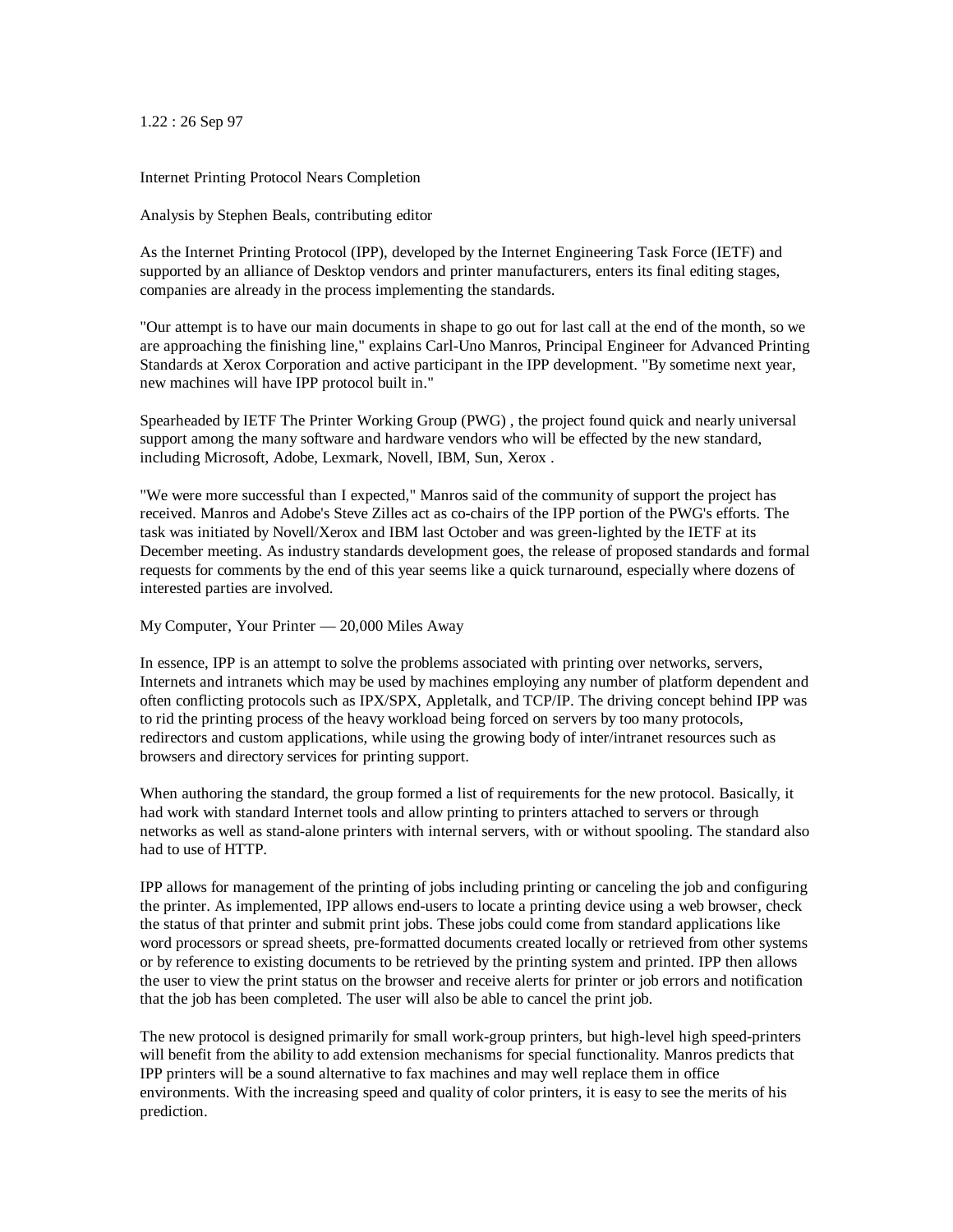1.22 : 26 Sep 97

Internet Printing Protocol Nears Completion

Analysis by Stephen Beals, contributing editor

As the Internet Printing Protocol (IPP), developed by the Internet Engineering Task Force (IETF) and supported by an alliance of Desktop vendors and printer manufacturers, enters its final editing stages, companies are already in the process implementing the standards.

"Our attempt is to have our main documents in shape to go out for last call at the end of the month, so we are approaching the finishing line," explains Carl-Uno Manros, Principal Engineer for Advanced Printing Standards at Xerox Corporation and active participant in the IPP development. "By sometime next year, new machines will have IPP protocol built in."

Spearheaded by IETF The Printer Working Group (PWG) , the project found quick and nearly universal support among the many software and hardware vendors who will be effected by the new standard, including Microsoft, Adobe, Lexmark, Novell, IBM, Sun, Xerox .

"We were more successful than I expected," Manros said of the community of support the project has received. Manros and Adobe's Steve Zilles act as co-chairs of the IPP portion of the PWG's efforts. The task was initiated by Novell/Xerox and IBM last October and was green-lighted by the IETF at its December meeting. As industry standards development goes, the release of proposed standards and formal requests for comments by the end of this year seems like a quick turnaround, especially where dozens of interested parties are involved.

## My Computer, Your Printer — 20,000 Miles Away

In essence, IPP is an attempt to solve the problems associated with printing over networks, servers, Internets and intranets which may be used by machines employing any number of platform dependent and often conflicting protocols such as IPX/SPX, Appletalk, and TCP/IP. The driving concept behind IPP was to rid the printing process of the heavy workload being forced on servers by too many protocols, redirectors and custom applications, while using the growing body of inter/intranet resources such as browsers and directory services for printing support.

When authoring the standard, the group formed a list of requirements for the new protocol. Basically, it had work with standard Internet tools and allow printing to printers attached to servers or through networks as well as stand-alone printers with internal servers, with or without spooling. The standard also had to use of HTTP.

IPP allows for management of the printing of jobs including printing or canceling the job and configuring the printer. As implemented, IPP allows end-users to locate a printing device using a web browser, check the status of that printer and submit print jobs. These jobs could come from standard applications like word processors or spread sheets, pre-formatted documents created locally or retrieved from other systems or by reference to existing documents to be retrieved by the printing system and printed. IPP then allows the user to view the print status on the browser and receive alerts for printer or job errors and notification that the job has been completed. The user will also be able to cancel the print job.

The new protocol is designed primarily for small work-group printers, but high-level high speed-printers will benefit from the ability to add extension mechanisms for special functionality. Manros predicts that IPP printers will be a sound alternative to fax machines and may well replace them in office environments. With the increasing speed and quality of color printers, it is easy to see the merits of his prediction.